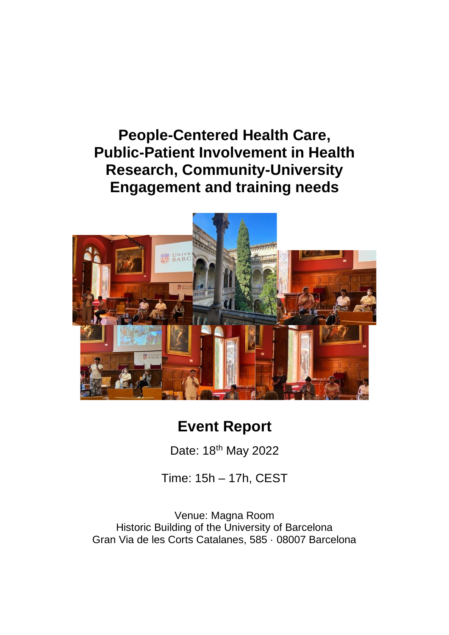## **People-Centered Health Care, Public-Patient Involvement in Health Research, Community-University Engagement and training needs**



# **Event Report**

Date: 18th May 2022

Time: 15h – 17h, CEST

Venue: Magna Room Historic Building of the University of Barcelona Gran Via de les Corts Catalanes, 585 · 08007 Barcelona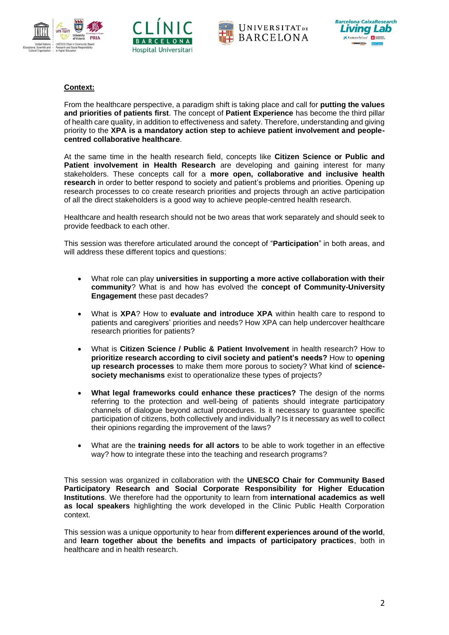







### **Context:**

From the healthcare perspective, a paradigm shift is taking place and call for **putting the values and priorities of patients first**. The concept of **Patient Experience** has become the third pillar of health care quality, in addition to effectiveness and safety. Therefore, understanding and giving priority to the **XPA is a mandatory action step to achieve patient involvement and peoplecentred collaborative healthcare**.

At the same time in the health research field, concepts like **Citizen Science or Public and Patient involvement in Health Research** are developing and gaining interest for many stakeholders. These concepts call for a **more open, collaborative and inclusive health research** in order to better respond to society and patient's problems and priorities. Opening up research processes to co create research priorities and projects through an active participation of all the direct stakeholders is a good way to achieve people-centred health research.

Healthcare and health research should not be two areas that work separately and should seek to provide feedback to each other.

This session was therefore articulated around the concept of "**Participation**" in both areas, and will address these different topics and questions:

- What role can play **universities in supporting a more active collaboration with their community**? What is and how has evolved the **concept of Community-University Engagement** these past decades?
- What is **XPA**? How to **evaluate and introduce XPA** within health care to respond to patients and caregivers' priorities and needs? How XPA can help undercover healthcare research priorities for patients?
- What is **Citizen Science / Public & Patient Involvement** in health research? How to **prioritize research according to civil society and patient's needs?** How to **opening up research processes** to make them more porous to society? What kind of **sciencesociety mechanisms** exist to operationalize these types of projects?
- **What legal frameworks could enhance these practices?** The design of the norms referring to the protection and well-being of patients should integrate participatory channels of dialogue beyond actual procedures. Is it necessary to guarantee specific participation of citizens, both collectively and individually? Is it necessary as well to collect their opinions regarding the improvement of the laws?
- What are the **training needs for all actors** to be able to work together in an effective way? how to integrate these into the teaching and research programs?

This session was organized in collaboration with the **UNESCO Chair for Community Based Participatory Research and Social Corporate Responsibility for Higher Education Institutions**. We therefore had the opportunity to learn from **international academics as well as local speakers** highlighting the work developed in the Clinic Public Health Corporation context.

This session was a unique opportunity to hear from **different experiences around of the world**, and **learn together about the benefits and impacts of participatory practices**, both in healthcare and in health research.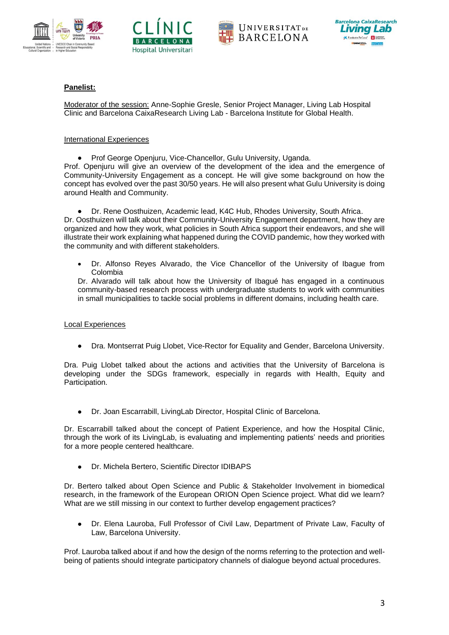







## **Panelist:**

Moderator of the session: Anne-Sophie Gresle, Senior Project Manager, Living Lab Hospital Clinic and Barcelona CaixaResearch Living Lab - Barcelona Institute for Global Health.

#### International Experiences

• Prof George Openjuru, Vice-Chancellor, Gulu University, Uganda.

Prof. Openjuru will give an overview of the development of the idea and the emergence of Community-University Engagement as a concept. He will give some background on how the concept has evolved over the past 30/50 years. He will also present what Gulu University is doing around Health and Community.

• Dr. Rene Oosthuizen, Academic lead, K4C Hub, Rhodes University, South Africa.

Dr. Oosthuizen will talk about their Community-University Engagement department, how they are organized and how they work, what policies in South Africa support their endeavors, and she will illustrate their work explaining what happened during the COVID pandemic, how they worked with the community and with different stakeholders.

• Dr. Alfonso Reyes Alvarado, the Vice Chancellor of the University of Ibague from Colombia

Dr. Alvarado will talk about how the University of Ibagué has engaged in a continuous community-based research process with undergraduate students to work with communities in small municipalities to tackle social problems in different domains, including health care.

## Local Experiences

• Dra. Montserrat Puig Llobet, Vice-Rector for Equality and Gender, Barcelona University.

Dra. Puig Llobet talked about the actions and activities that the University of Barcelona is developing under the SDGs framework, especially in regards with Health, Equity and Participation.

• Dr. Joan Escarrabill, LivingLab Director, Hospital Clinic of Barcelona.

Dr. Escarrabill talked about the concept of Patient Experience, and how the Hospital Clinic, through the work of its LivingLab, is evaluating and implementing patients' needs and priorities for a more people centered healthcare.

• Dr. Michela Bertero, Scientific Director IDIBAPS

Dr. Bertero talked about Open Science and Public & Stakeholder Involvement in biomedical research, in the framework of the European ORION Open Science project. What did we learn? What are we still missing in our context to further develop engagement practices?

• Dr. Elena Lauroba, Full Professor of Civil Law, Department of Private Law, Faculty of Law, Barcelona University.

Prof. Lauroba talked about if and how the design of the norms referring to the protection and wellbeing of patients should integrate participatory channels of dialogue beyond actual procedures.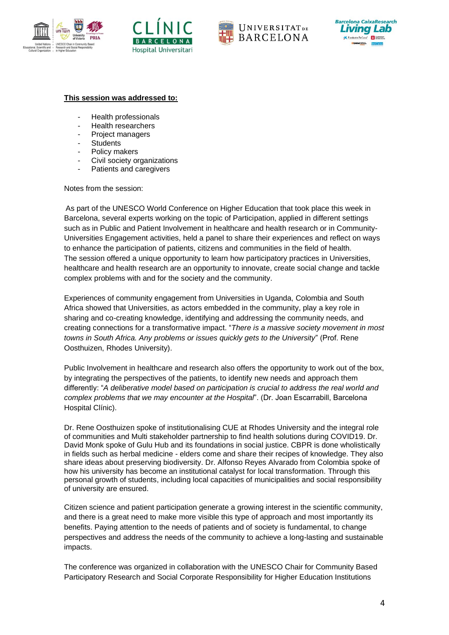







#### **This session was addressed to:**

- Health professionals
- Health researchers
- Project managers
- **Students**
- Policy makers
- Civil society organizations
- Patients and caregivers

Notes from the session:

As part of the UNESCO World Conference on Higher Education that took place this week in Barcelona, several experts working on the topic of Participation, applied in different settings such as in Public and Patient Involvement in healthcare and health research or in Community-Universities Engagement activities, held a panel to share their experiences and reflect on ways to enhance the participation of patients, citizens and communities in the field of health. The session offered a unique opportunity to learn how participatory practices in Universities, healthcare and health research are an opportunity to innovate, create social change and tackle complex problems with and for the society and the community.

Experiences of community engagement from Universities in Uganda, Colombia and South Africa showed that Universities, as actors embedded in the community, play a key role in sharing and co-creating knowledge, identifying and addressing the community needs, and creating connections for a transformative impact. "*There is a massive society movement in most towns in South Africa. Any problems or issues quickly gets to the University*" (Prof. Rene Oosthuizen, Rhodes University).

Public Involvement in healthcare and research also offers the opportunity to work out of the box, by integrating the perspectives of the patients, to identify new needs and approach them differently: "*A deliberative model based on participation is crucial to address the real world and complex problems that we may encounter at the Hospital*". (Dr. Joan Escarrabill, Barcelona Hospital Clínic).

Dr. Rene Oosthuizen spoke of institutionalising CUE at Rhodes University and the integral role of communities and Multi stakeholder partnership to find health solutions during COVID19. Dr. David Monk spoke of Gulu Hub and its foundations in social justice. CBPR is done wholistically in fields such as herbal medicine - elders come and share their recipes of knowledge. They also share ideas about preserving biodiversity. Dr. Alfonso Reyes Alvarado from Colombia spoke of how his university has become an institutional catalyst for local transformation. Through this personal growth of students, including local capacities of municipalities and social responsibility of university are ensured.

Citizen science and patient participation generate a growing interest in the scientific community, and there is a great need to make more visible this type of approach and most importantly its benefits. Paying attention to the needs of patients and of society is fundamental, to change perspectives and address the needs of the community to achieve a long-lasting and sustainable impacts.

The conference was organized in collaboration with the UNESCO Chair for Community Based Participatory Research and Social Corporate Responsibility for Higher Education Institutions